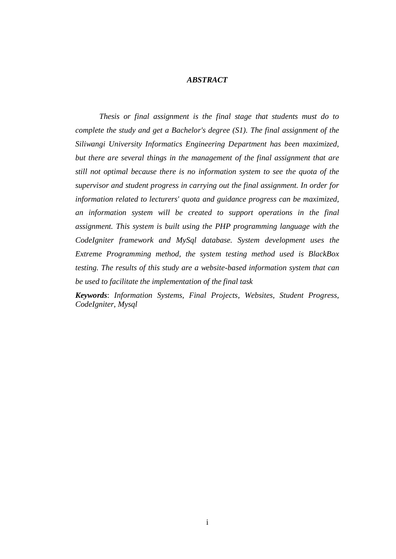## *ABSTRACT*

*Thesis or final assignment is the final stage that students must do to complete the study and get a Bachelor's degree (S1). The final assignment of the Siliwangi University Informatics Engineering Department has been maximized, but there are several things in the management of the final assignment that are still not optimal because there is no information system to see the quota of the supervisor and student progress in carrying out the final assignment. In order for information related to lecturers' quota and guidance progress can be maximized, an information system will be created to support operations in the final assignment. This system is built using the PHP programming language with the CodeIgniter framework and MySql database. System development uses the Extreme Programming method, the system testing method used is BlackBox testing. The results of this study are a website-based information system that can be used to facilitate the implementation of the final task*

*Keywords*: *Information Systems, Final Projects, Websites, Student Progress, CodeIgniter, Mysql*